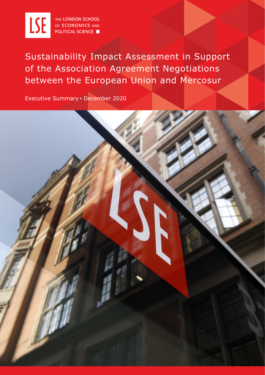

THE LONDON SCHOOL OF ECONOMICS AND **POLITICAL SCIENCE** 

Sustainability Impact Assessment in Support of the Association Agreement Negotiations between the European Union and Mercosur

Executive Summary ▪ December 2020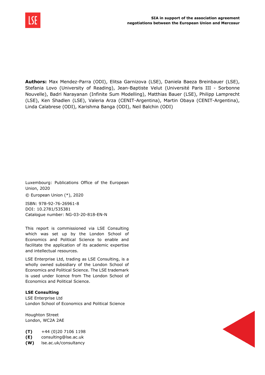

**Authors:** Max Mendez-Parra (ODI), Elitsa Garnizova (LSE), Daniela Baeza Breinbauer (LSE), Stefania Lovo (University of Reading), Jean-Baptiste Velut (Université Paris III - Sorbonne Nouvelle), Badri Narayanan (Infinite Sum Modelling), Matthias Bauer (LSE), Philipp Lamprecht (LSE), Ken Shadlen (LSE), Valeria Arza (CENIT-Argentina), Martin Obaya (CENIT-Argentina), Linda Calabrese (ODI), Karishma Banga (ODI), Neil Balchin (ODI)

Luxembourg: Publications Office of the European Union, 2020

© European Union (\*), 2020

ISBN: 978-92-76-26961-8 DOI: 10.2781/535381 Catalogue number: NG-03-20-818-EN-N

This report is commissioned via LSE Consulting which was set up by the London School of Economics and Political Science to enable and facilitate the application of its academic expertise and intellectual resources.

LSE Enterprise Ltd, trading as LSE Consulting, is a wholly owned subsidiary of the London School of Economics and Political Science. The LSE trademark is used under licence from The London School of Economics and Political Science.

## **LSE Consulting**

LSE Enterprise Ltd London School of Economics and Political Science

Houghton Street London, WC2A 2AE

**(T)** +44 (0)20 7106 1198

**(E)** consulting@lse.ac.uk

**(W)** lse.ac.uk/consultancy

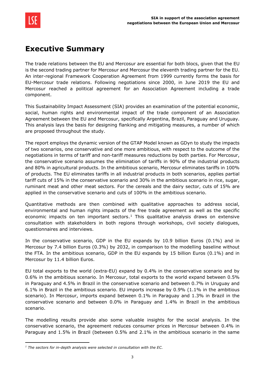

## **Executive Summary**

The trade relations between the EU and Mercosur are essential for both blocs, given that the EU is the second trading partner for Mercosur and Mercosur the eleventh trading partner for the EU. An inter-regional Framework Cooperation Agreement from 1999 currently forms the basis for EU-Mercosur trade relations. Following negotiations since 2000, in June 2019 the EU and Mercosur reached a political agreement for an Association Agreement including a trade component.

This Sustainability Impact Assessment (SIA) provides an examination of the potential economic, social, human rights and environmental impact of the trade component of an Association Agreement between the EU and Mercosur, specifically Argentina, Brazil, Paraguay and Uruguay. This analysis lays the basis for designing flanking and mitigating measures, a number of which are proposed throughout the study.

The report employs the dynamic version of the GTAP Model known as GDyn to study the impacts of two scenarios, one conservative and one more ambitious, with respect to the outcome of the negotiations in terms of tariff and non-tariff measures reductions by both parties. For Mercosur, the conservative scenario assumes the elimination of tariffs in 90% of the industrial products and 80% in agricultural products. In the ambitious scenario, Mercosur eliminates tariffs in 100% of products. The EU eliminates tariffs in all industrial products in both scenarios, applies partial tariff cuts of 15% in the conservative scenario and 30% in the ambitious scenario in rice, sugar, ruminant meat and other meat sectors. For the cereals and the dairy sector, cuts of 15% are applied in the conservative scenario and cuts of 100% in the ambitious scenario.

Quantitative methods are then combined with qualitative approaches to address social, environmental and human rights impacts of the free trade agreement as well as the specific economic impacts on ten important sectors.<sup>1</sup> This qualitative analysis draws on extensive consultation with stakeholders in both regions through workshops, civil society dialogues, questionnaires and interviews.

In the conservative scenario, GDP in the EU expands by 10.9 billion Euros (0.1%) and in Mercosur by 7.4 billion Euros (0.3%) by 2032, in comparison to the modelling baseline without the FTA. In the ambitious scenario, GDP in the EU expands by 15 billion Euros (0.1%) and in Mercosur by 11.4 billion Euros.

EU total exports to the world (extra-EU) expand by 0.4% in the conservative scenario and by 0.6% in the ambitious scenario. In Mercosur, total exports to the world expand between 0.5% in Paraguay and 4.5% in Brazil in the conservative scenario and between 0.7% in Uruguay and 6.1% in Brazil in the ambitious scenario. EU imports increase by 0.9% (1.1% in the ambitious scenario). In Mercosur, imports expand between 0.1% in Paraguay and 1.3% in Brazil in the conservative scenario and between 0.0% in Paraguay and 1.4% in Brazil in the ambitious scenario.

The modelling results provide also some valuable insights for the social analysis. In the conservative scenario, the agreement reduces consumer prices in Mercosur between 0.4% in Paraguay and 1.5% in Brazil (between 0.5% and 2.1% in the ambitious scenario in the same

<span id="page-2-0"></span>*<sup>1</sup> The sectors for in-depth analysis were selected in consultation with the EC.*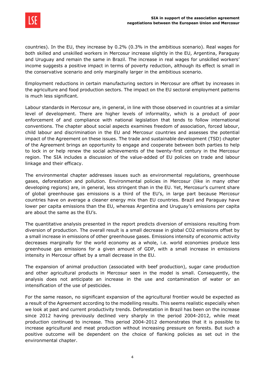

countries). In the EU, they increase by 0.2% (0.3% in the ambitious scenario). Real wages for both skilled and unskilled workers in Mercosur increase slightly in the EU, Argentina, Paraguay and Uruguay and remain the same in Brazil. The increase in real wages for unskilled workers' income suggests a positive impact in terms of poverty reduction, although its effect is small in the conservative scenario and only marginally larger in the ambitious scenario.

Employment reductions in certain manufacturing sectors in Mercosur are offset by increases in the agriculture and food production sectors. The impact on the EU sectoral employment patterns is much less significant.

Labour standards in Mercosur are, in general, in line with those observed in countries at a similar level of development. There are higher levels of informality, which is a product of poor enforcement of and compliance with national legislation that tends to follow international conventions. The chapter about social aspects examines freedom of association, forced labour, child labour and discrimination in the EU and Mercosur countries and assesses the potential impact of the Agreement on these issues. The trade and sustainable development (TSD) chapter of the Agreement brings an opportunity to engage and cooperate between both parties to help to lock in or help renew the social achievements of the twenty-first century in the Mercosur region. The SIA includes a discussion of the value-added of EU policies on trade and labour linkage and their efficacy.

The environmental chapter addresses issues such as environmental regulations, greenhouse gases, deforestation and pollution. Environmental policies in Mercosur (like in many other developing regions) are, in general, less stringent than in the EU. Yet, Mercosur's current share of global greenhouse gas emissions is a third of the EU's, in large part because Mercosur countries have on average a cleaner energy mix than EU countries. Brazil and Paraguay have lower per capita emissions than the EU, whereas Argentina and Uruguay's emissions per capita are about the same as the EU's.

The quantitative analysis presented in the report predicts diversion of emissions resulting from diversion of production. The overall result is a small decrease in global CO2 emissions offset by a small increase in emissions of other greenhouse gases. Emissions intensity of economic activity decreases marginally for the world economy as a whole, i.e. world economies produce less greenhouse gas emissions for a given amount of GDP, with a small increase in emissions intensity in Mercosur offset by a small decrease in the EU.

The expansion of animal production (associated with beef production), sugar cane production and other agricultural products in Mercosur seen in the model is small. Consequently, the analysis does not anticipate an increase in the use and contamination of water or an intensification of the use of pesticides.

For the same reason, no significant expansion of the agricultural frontier would be expected as a result of the Agreement according to the modelling results. This seems realistic especially when we look at past and current productivity trends. Deforestation in Brazil has been on the increase since 2012 having previously declined very sharply in the period 2004-2012, while meat production continued to increase. This period 2004-2012 demonstrates that it is possible to increase agricultural and meat production without increasing pressure on forests. But such a positive outcome will be dependent on the choice of flanking policies as set out in the environmental chapter.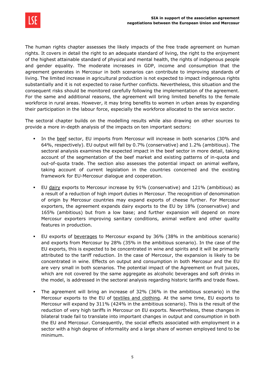

The human rights chapter assesses the likely impacts of the free trade agreement on human rights. It covers in detail the right to an adequate standard of living, the right to the enjoyment of the highest attainable standard of physical and mental health, the rights of indigenous people and gender equality. The moderate increases in GDP, income and consumption that the agreement generates in Mercosur in both scenarios can contribute to improving standards of living. The limited increase in agricultural production is not expected to impact indigenous rights substantially and it is not expected to raise further conflicts. Nevertheless, this situation and the consequent risks should be monitored carefully following the implementation of the agreement. For the same and additional reasons, the agreement will bring limited benefits to the female workforce in rural areas. However, it may bring benefits to women in urban areas by expanding their participation in the labour force, especially the workforce allocated to the service sector.

The sectoral chapter builds on the modelling results while also drawing on other sources to provide a more in-depth analysis of the impacts on ten important sectors:

- In the beef sector, EU imports from Mercosur will increase in both scenarios (30% and 64%, respectively). EU output will fall by 0.7% (conservative) and 1.2% (ambitious). The sectoral analysis examines the expected impact in the beef sector in more detail, taking account of the segmentation of the beef market and existing patterns of in-quota and out-of-quota trade. The section also assesses the potential impact on animal welfare, taking account of current legislation in the countries concerned and the existing framework for EU-Mercosur dialogue and cooperation.
- EU dairy exports to Mercosur increase by 91% (conservative) and 121% (ambitious) as a result of a reduction of high import duties in Mercosur. The recognition of denomination of origin by Mercosur countries may expand exports of cheese further. For Mercosur exporters, the agreement expands dairy exports to the EU by 18% (conservative) and 165% (ambitious) but from a low base; and further expansion will depend on more Mercosur exporters improving sanitary conditions, animal welfare and other quality features in production.
- EU exports of beverages to Mercosur expand by 36% (38% in the ambitious scenario) and exports from Mercosur by 28% (35% in the ambitious scenario). In the case of the EU exports, this is expected to be concentrated in wine and spirits and it will be primarily attributed to the tariff reduction. In the case of Mercosur, the expansion is likely to be concentrated in wine. Effects on output and consumption in both Mercosur and the EU are very small in both scenarios. The potential impact of the Agreement on fruit juices, which are not covered by the same aggregate as alcoholic beverages and soft drinks in the model, is addressed in the sectoral analysis regarding historic tariffs and trade flows.
- The agreement will bring an increase of 32% (36% in the ambitious scenario) in the Mercosur exports to the EU of textiles and clothing. At the same time, EU exports to Mercosur will expand by 311% (424% in the ambitious scenario). This is the result of the reduction of very high tariffs in Mercosur on EU exports. Nevertheless, these changes in bilateral trade fail to translate into important changes in output and consumption in both the EU and Mercosur. Consequently, the social effects associated with employment in a sector with a high degree of informality and a large share of women employed tend to be minimum.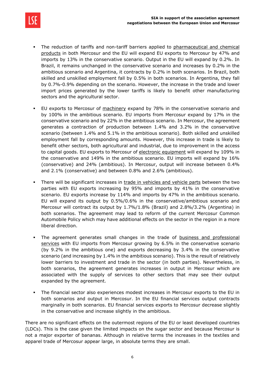

- The reduction of tariffs and non-tariff barriers applied to pharmaceutical and chemical products in both Mercosur and the EU will expand EU exports to Mercosur by 47% and imports by 13% in the conservative scenario. Output in the EU will expand by 0.2%. In Brazil, it remains unchanged in the conservative scenario and increases by 0.2% in the ambitious scenario and Argentina, it contracts by 0.2% in both scenarios. In Brazil, both skilled and unskilled employment fall by 0.5% in both scenarios. In Argentina, they fall by 0.7%-0.9% depending on the scenario. However, the increase in the trade and lower import prices generated by the lower tariffs is likely to benefit other manufacturing sectors and the agricultural sector.
- **EU** exports to Mercosur of machinery expand by 78% in the conservative scenario and by 100% in the ambitious scenario. EU imports from Mercosur expand by 17% in the conservative scenario and by 22% in the ambitious scenario. In Mercosur, the agreement generates a contraction of production between 1.4% and 3.2% in the conservative scenario (between 1.4% and 5.1% in the ambitious scenario). Both skilled and unskilled employment fall by corresponding amounts. However, this increase in trade is likely to benefit other sectors, both agricultural and industrial, due to improvement in the access to capital goods. EU exports to Mercosur of electronic equipment will expand by 109% in the conservative and 149% in the ambitious scenario. EU imports will expand by 16% (conservative) and 24% (ambitious). In Mercosur, output will increase between 0.4% and 2.1% (conservative) and between 0.8% and 2.6% (ambitious).
- There will be significant increases in trade in vehicles and vehicle parts between the two parties with EU exports increasing by 95% and imports by 41% in the conservative scenario. EU exports increase by 114% and imports by 47% in the ambitious scenario. EU will expand its output by 0.5%/0.6% in the conservative/ambitious scenario and Mercosur will contract its output by 1.7%/1.8% (Brazil) and 2.8%/3.2% (Argentina) in both scenarios. The agreement may lead to reform of the current Mercosur Common Automobile Policy which may have additional effects on the sector in the region in a more liberal direction.
- The agreement generates small changes in the trade of business and professional services with EU imports from Mercosur growing by 6.5% in the conservative scenario (by 9.2% in the ambitious one) and exports decreasing by 3.4% in the conservative scenario (and increasing by 1.4% in the ambitious scenario). This is the result of relatively lower barriers to investment and trade in the sector (in both parties). Nevertheless, in both scenarios, the agreement generates increases in output in Mercosur which are associated with the supply of services to other sectors that may see their output expanded by the agreement.
- The financial sector also experiences modest increases in Mercosur exports to the EU in both scenarios and output in Mercosur. In the EU financial services output contracts marginally in both scenarios. EU financial services exports to Mercosur decrease slightly in the conservative and increase slightly in the ambitious.

There are no significant effects on the outermost regions of the EU or least developed countries (LDCs). This is the case given the limited impacts on the sugar sector and because Mercosur is not a major exporter of bananas. Although in relative terms the increases in the textiles and apparel trade of Mercosur appear large, in absolute terms they are small.